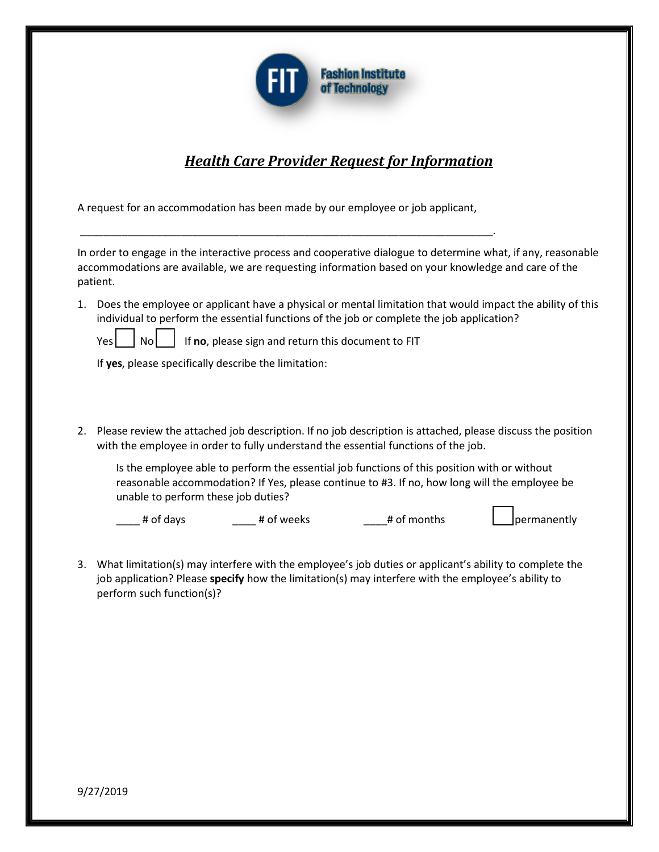

## *Health Care Provider Request for Information*

A request for an accommodation has been made by our employee or job applicant,

\_\_\_\_\_\_\_\_\_\_\_\_\_\_\_\_\_\_\_\_\_\_\_\_\_\_\_\_\_\_\_\_\_\_\_\_\_\_\_\_\_\_\_\_\_\_\_\_\_\_\_\_\_\_\_\_\_\_\_\_\_\_\_\_\_\_\_\_\_\_.

In order to engage in the interactive process and cooperative dialogue to determine what, if any, reasonable accommodations are available, we are requesting information based on your knowledge and care of the patient.

1. Does the employee or applicant have a physical or mental limitation that would impact the ability of this individual to perform the essential functions of the job or complete the job application?



Yes | | No | | If **no**, please sign and return this document to FIT

If **yes**, please specifically describe the limitation:

2. Please review the attached job description. If no job description is attached, please discuss the position with the employee in order to fully understand the essential functions of the job.

Is the employee able to perform the essential job functions of this position with or without reasonable accommodation? If Yes, please continue to #3. If no, how long will the employee be unable to perform these job duties?

\_\_\_\_ # of days \_\_\_\_\_\_\_\_ # of weeks \_\_\_\_\_\_\_\_\_\_# of months \_\_\_\_\_\_\_\_\_\_\_\_\_\_\_\_\_\_\_\_\_\_\_

3. What limitation(s) may interfere with the employee's job duties or applicant's ability to complete the job application? Please **specify** how the limitation(s) may interfere with the employee's ability to perform such function(s)?